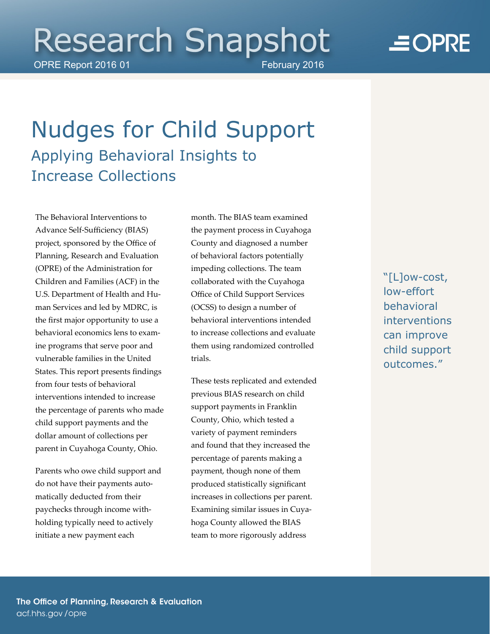# **Research Snapshot**

OPRE Report 2016 01 February 2016

## $\equiv$ OPRE

### Nudges for Child Support Applying Behavioral Insights to Increase Collections

project, sponsored by the Office of Planning/ Research and Evaluation (OPRE) of the Administration for Children and Families (ACF) in the U.S. Department of Health and Human Services and led by MDRC, is the first major opportunity to use a behavioral economics lens to exam- vulnerable families in the United from four tests of behavioral interventions intended to increase the percentage of parents who made child support payments and the parent in Cuyahoga County*,* Ohio. The Behavioral Interventions to Advance Self-Sufficiency (BIAS) ine programs that serve poor and States. This report presents findings dollar amount of collections per

 Parents who owe child support and matically deducted from their paychecks through income with- holding typically need to actively do not have their payments autoinitiate a new payment each

 month. The BIAS team examined the payment process in Cuyahoga County and diagnosed a number of behavioral factors potentially collaborated with the Cuyahoga Office of Child Support Services (OCSS) to design a number of them using randomized controlled impeding collections. The team behavioral interventions intended to increase collections and evaluate trials.

 These tests replicated and extended previous BIAS research on child support payments in Franklin and found that they increased the percentage of parents making a payment/ though none of them hoga County allowed the BIAS team to more rigorously address County, Ohio, which tested a variety of payment reminders produced statistically significant increases in collections per parent. Examining similar issues in Cuya"[L]ow-cost, low-effort behavioral interventions can improve child support outcomes."